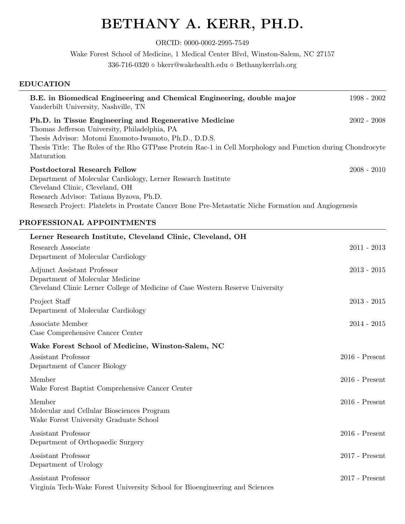# BETHANY A. KERR, PH.D.

ORCID: 0000-0002-2995-7549

Wake Forest School of Medicine, 1 Medical Center Blvd, Winston-Salem, NC 27157

336-716-0320  $\diamond$  bkerr@wakehealth.edu  $\diamond$  Bethanykerrlab.org

## EDUCATION

| Vanderbilt University, Nashville, TN                                                                              | B.E. in Biomedical Engineering and Chemical Engineering, double major                                                                                                                                                        | $1998 - 2002$    |
|-------------------------------------------------------------------------------------------------------------------|------------------------------------------------------------------------------------------------------------------------------------------------------------------------------------------------------------------------------|------------------|
| Thomas Jefferson University, Philadelphia, PA<br>Maturation                                                       | Ph.D. in Tissue Engineering and Regenerative Medicine<br>Thesis Advisor: Motomi Enomoto-Iwamoto, Ph.D., D.D.S.<br>Thesis Title: The Roles of the Rho GTPase Protein Rac-1 in Cell Morphology and Function during Chondrocyte | $2002 - 2008$    |
| <b>Postdoctoral Research Fellow</b><br>Cleveland Clinic, Cleveland, OH<br>Research Advisor: Tatiana Byzova, Ph.D. | Department of Molecular Cardiology, Lerner Research Institute<br>Research Project: Platelets in Prostate Cancer Bone Pre-Metastatic Niche Formation and Angiogenesis                                                         | $2008 - 2010$    |
| PROFESSIONAL APPOINTMENTS                                                                                         |                                                                                                                                                                                                                              |                  |
|                                                                                                                   | Lerner Research Institute, Cleveland Clinic, Cleveland, OH                                                                                                                                                                   |                  |
| Research Associate<br>Department of Molecular Cardiology                                                          |                                                                                                                                                                                                                              | $2011 - 2013$    |
| <b>Adjunct Assistant Professor</b><br>Department of Molecular Medicine                                            | Cleveland Clinic Lerner College of Medicine of Case Western Reserve University                                                                                                                                               | $2013 - 2015$    |
| Project Staff<br>Department of Molecular Cardiology                                                               |                                                                                                                                                                                                                              | $2013 - 2015$    |
| Associate Member<br>Case Comprehensive Cancer Center                                                              |                                                                                                                                                                                                                              | $2014 - 2015$    |
|                                                                                                                   | Wake Forest School of Medicine, Winston-Salem, NC                                                                                                                                                                            |                  |
| Assistant Professor<br>Department of Cancer Biology                                                               |                                                                                                                                                                                                                              | $2016$ - Present |
| Member<br>Wake Forest Baptist Comprehensive Cancer Center                                                         |                                                                                                                                                                                                                              | $2016$ - Present |
| Member<br>Molecular and Cellular Biosciences Program<br>Wake Forest University Graduate School                    |                                                                                                                                                                                                                              | $2016$ - Present |
| Assistant Professor<br>Department of Orthopaedic Surgery                                                          |                                                                                                                                                                                                                              | $2016$ - Present |
| Assistant Professor<br>Department of Urology                                                                      |                                                                                                                                                                                                                              | $2017$ - Present |
| Assistant Professor                                                                                               | Virginia Tech-Wake Forest University School for Bioengineering and Sciences                                                                                                                                                  | $2017$ - Present |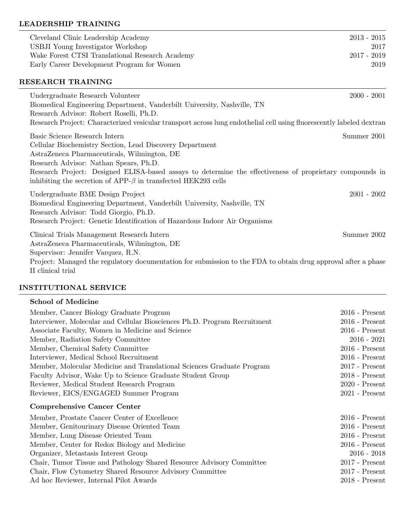## LEADERSHIP TRAINING

| Cleveland Clinic Leadership Academy                                                                                                                                              | $2013 - 2015$ |
|----------------------------------------------------------------------------------------------------------------------------------------------------------------------------------|---------------|
| USBJI Young Investigator Workshop                                                                                                                                                | 2017          |
| Wake Forest CTSI Translational Research Academy                                                                                                                                  | $2017 - 2019$ |
| Early Career Development Program for Women                                                                                                                                       | 2019          |
| RESEARCH TRAINING                                                                                                                                                                |               |
| Undergraduate Research Volunteer                                                                                                                                                 | $2000 - 2001$ |
| Biomedical Engineering Department, Vanderbilt University, Nashville, TN                                                                                                          |               |
| Research Advisor: Robert Roselli, Ph.D.                                                                                                                                          |               |
| Research Project: Characterized vesicular transport across lung endothelial cell using fluorescently labeled dextran                                                             |               |
| Basic Science Research Intern                                                                                                                                                    | Summer 2001   |
| Cellular Biochemistry Section, Lead Discovery Department                                                                                                                         |               |
| AstraZeneca Pharmaceuticals, Wilmington, DE                                                                                                                                      |               |
| Research Advisor: Nathan Spears, Ph.D.                                                                                                                                           |               |
| Research Project: Designed ELISA-based assays to determine the effectiveness of proprietary compounds in<br>inhibiting the secretion of APP- $\beta$ in transfected HEK293 cells |               |
| Undergraduate BME Design Project                                                                                                                                                 | $2001 - 2002$ |
| Biomedical Engineering Department, Vanderbilt University, Nashville, TN                                                                                                          |               |
| Research Advisor: Todd Giorgio, Ph.D.                                                                                                                                            |               |
| Research Project: Genetic Identification of Hazardous Indoor Air Organisms                                                                                                       |               |
| Clinical Trials Management Research Intern                                                                                                                                       | Summer 2002   |
| AstraZeneca Pharmaceuticals, Wilmington, DE                                                                                                                                      |               |
| Supervisor: Jennifer Varquez, R.N.                                                                                                                                               |               |
| Project: Managed the regulatory documentation for submission to the FDA to obtain drug approval after a phase                                                                    |               |
| II clinical trial                                                                                                                                                                |               |

#### INSTITUTIONAL SERVICE

| <b>School of Medicine</b>                                                 |                  |
|---------------------------------------------------------------------------|------------------|
| Member, Cancer Biology Graduate Program                                   | $2016$ - Present |
| Interviewer, Molecular and Cellular Biosciences Ph.D. Program Recruitment | $2016$ - Present |

| Interviewer, Molecular and Cellular Biosciences Ph.D. Program Recruitment | $2016$ - Present |
|---------------------------------------------------------------------------|------------------|
| Associate Faculty, Women in Medicine and Science                          | $2016$ - Present |
| Member, Radiation Safety Committee                                        | $2016 - 2021$    |
| Member, Chemical Safety Committee                                         | $2016$ - Present |
| Interviewer, Medical School Recruitment                                   | $2016$ - Present |
| Member, Molecular Medicine and Translational Sciences Graduate Program    | $2017$ - Present |
| Faculty Advisor, Wake Up to Science Graduate Student Group                | $2018$ - Present |
| Reviewer, Medical Student Research Program                                | $2020$ - Present |
| Reviewer, EICS/ENGAGED Summer Program                                     | $2021$ - Present |
| <b>Comprehensive Cancer Center</b>                                        |                  |
|                                                                           |                  |
| Member, Prostate Cancer Center of Excellence                              | $2016$ - Present |
| Member, Genitourinary Disease Oriented Team                               | $2016$ - Present |
| Member, Lung Disease Oriented Team                                        | $2016$ - Present |
| Member, Center for Redox Biology and Medicine                             | $2016$ - Present |
| Organizer, Metastasis Interest Group                                      | $2016 - 2018$    |
| Chair, Tumor Tissue and Pathology Shared Resource Advisory Committee      | $2017$ - Present |
| Chair, Flow Cytometry Shared Resource Advisory Committee                  | $2017$ - Present |
| Ad hoc Reviewer, Internal Pilot Awards                                    | $2018$ - Present |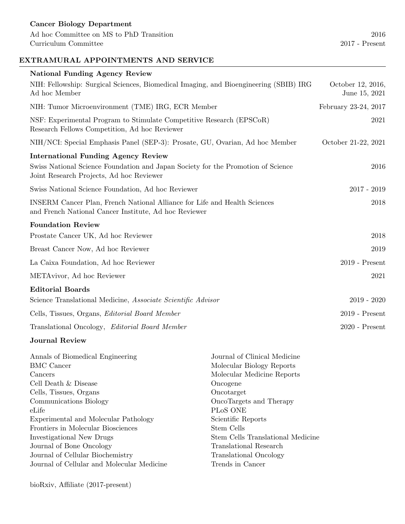## EXTRAMURAL APPOINTMENTS AND SERVICE

| <b>National Funding Agency Review</b>                                                                                              |                                    |
|------------------------------------------------------------------------------------------------------------------------------------|------------------------------------|
| NIH: Fellowship: Surgical Sciences, Biomedical Imaging, and Bioengineering (SBIB) IRG<br>Ad hoc Member                             | October 12, 2016,<br>June 15, 2021 |
| NIH: Tumor Microenvironment (TME) IRG, ECR Member                                                                                  | February 23-24, 2017               |
| NSF: Experimental Program to Stimulate Competitive Research (EPSCoR)<br>Research Fellows Competition, Ad hoc Reviewer              | 2021                               |
| NIH/NCI: Special Emphasis Panel (SEP-3): Prosate, GU, Ovarian, Ad hoc Member                                                       | October 21-22, 2021                |
| <b>International Funding Agency Review</b>                                                                                         |                                    |
| Swiss National Science Foundation and Japan Society for the Promotion of Science<br>Joint Research Projects, Ad hoc Reviewer       | 2016                               |
| Swiss National Science Foundation, Ad hoc Reviewer                                                                                 | $2017 - 2019$                      |
| INSERM Cancer Plan, French National Alliance for Life and Health Sciences<br>and French National Cancer Institute, Ad hoc Reviewer | 2018                               |
| <b>Foundation Review</b>                                                                                                           |                                    |
| Prostate Cancer UK, Ad hoc Reviewer                                                                                                | 2018                               |
| Breast Cancer Now, Ad hoc Reviewer                                                                                                 | 2019                               |
| La Caixa Foundation, Ad hoc Reviewer                                                                                               | $2019$ - Present                   |
| METAvivor, Ad hoc Reviewer                                                                                                         | 2021                               |
| <b>Editorial Boards</b>                                                                                                            |                                    |
| Science Translational Medicine, Associate Scientific Advisor                                                                       | $2019 - 2020$                      |
| Cells, Tissues, Organs, <i>Editorial Board Member</i>                                                                              | $2019$ - Present                   |
| Translational Oncology, Editorial Board Member                                                                                     | $2020$ - Present                   |

## Journal Review

| Journal of Clinical Medicine      |
|-----------------------------------|
| Molecular Biology Reports         |
| Molecular Medicine Reports        |
| Oncogene                          |
| Oncotarget                        |
| OncoTargets and Therapy           |
| PL <sub>o</sub> S ONE             |
| Scientific Reports                |
| Stem Cells                        |
| Stem Cells Translational Medicine |
| Translational Research            |
| <b>Translational Oncology</b>     |
| Trends in Cancer                  |
|                                   |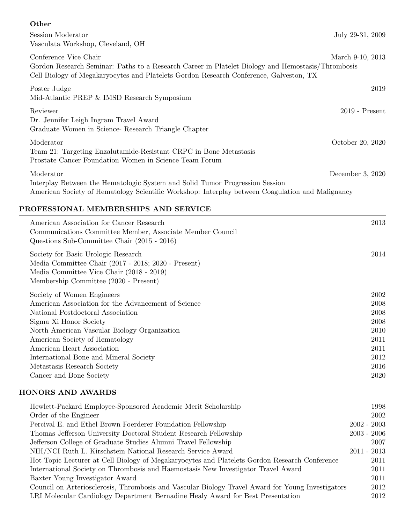#### **Other**

| Session Moderator<br>Vasculata Workshop, Cleveland, OH                                                                                                                                                               | July 29-31, 2009 |
|----------------------------------------------------------------------------------------------------------------------------------------------------------------------------------------------------------------------|------------------|
| Conference Vice Chair<br>Gordon Research Seminar: Paths to a Research Career in Platelet Biology and Hemostasis/Thrombosis<br>Cell Biology of Megakaryocytes and Platelets Gordon Research Conference, Galveston, TX | March 9-10, 2013 |
| Poster Judge<br>Mid-Atlantic PREP & IMSD Research Symposium                                                                                                                                                          | 2019             |
| Reviewer<br>Dr. Jennifer Leigh Ingram Travel Award<br>Graduate Women in Science- Research Triangle Chapter                                                                                                           | $2019$ - Present |
| Moderator<br>Team 21: Targeting Enzalutamide-Resistant CRPC in Bone Metastasis<br>Prostate Cancer Foundation Women in Science Team Forum                                                                             | October 20, 2020 |
| Moderator<br>Interplay Between the Hematologic System and Solid Tumor Progression Session<br>American Society of Hematology Scientific Workshop: Interplay between Coagulation and Malignancy                        | December 3, 2020 |

## PROFESSIONAL MEMBERSHIPS AND SERVICE

| American Association for Cancer Research<br>Communications Committee Member, Associate Member Council<br>Questions Sub-Committee Chair (2015 - 2016)                            | 2013 |
|---------------------------------------------------------------------------------------------------------------------------------------------------------------------------------|------|
| Society for Basic Urologic Research<br>Media Committee Chair (2017 - 2018; 2020 - Present)<br>Media Committee Vice Chair (2018 - 2019)<br>Membership Committee (2020 - Present) | 2014 |
| Society of Women Engineers                                                                                                                                                      | 2002 |
| American Association for the Advancement of Science                                                                                                                             | 2008 |
| National Postdoctoral Association                                                                                                                                               | 2008 |
| Sigma Xi Honor Society                                                                                                                                                          | 2008 |
| North American Vascular Biology Organization                                                                                                                                    | 2010 |
| American Society of Hematology                                                                                                                                                  | 2011 |
| American Heart Association                                                                                                                                                      | 2011 |
| International Bone and Mineral Society                                                                                                                                          | 2012 |
| Metastasis Research Society                                                                                                                                                     | 2016 |
| Cancer and Bone Society                                                                                                                                                         | 2020 |

## HONORS AND AWARDS

| Hewlett-Packard Employee-Sponsored Academic Merit Scholarship                                     | 1998          |
|---------------------------------------------------------------------------------------------------|---------------|
| Order of the Engineer                                                                             | 2002          |
| Percival E. and Ethel Brown Foerderer Foundation Fellowship                                       | $2002 - 2003$ |
| Thomas Jefferson University Doctoral Student Research Fellowship                                  | $2003 - 2006$ |
| Jefferson College of Graduate Studies Alumni Travel Fellowship                                    | 2007          |
| NIH/NCI Ruth L. Kirschstein National Research Service Award                                       | $2011 - 2013$ |
| Hot Topic Lecturer at Cell Biology of Megakaryocytes and Platelets Gordon Research Conference     | 2011          |
| International Society on Thrombosis and Haemostasis New Investigator Travel Award                 | 2011          |
| Baxter Young Investigator Award                                                                   | 2011          |
| Council on Arteriosclerosis, Thrombosis and Vascular Biology Travel Award for Young Investigators | 2012          |
| LRI Molecular Cardiology Department Bernadine Healy Award for Best Presentation                   | 2012          |
|                                                                                                   |               |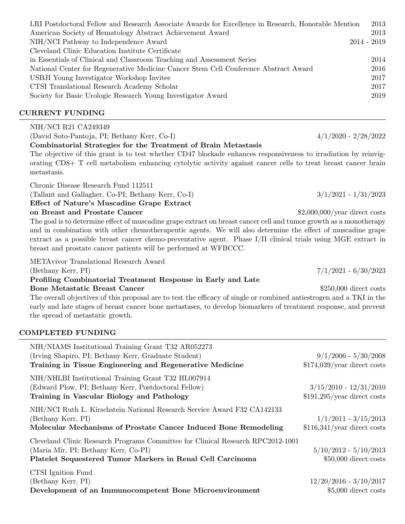| LRI Postdoctoral Fellow and Research Associate Awards for Excellence in Research, Honorable Mention |             | 2013 |
|-----------------------------------------------------------------------------------------------------|-------------|------|
| American Society of Hematology Abstract Achievement Award                                           |             | 2013 |
| NIH/NCI Pathway to Independence Award                                                               | 2014 - 2019 |      |
| Cleveland Clinic Education Institute Certificate                                                    |             |      |
| in Essentials of Clinical and Classroom Teaching and Assessment Series                              |             | 2014 |
| National Center for Regenerative Medicine Cancer Stem Cell Conference Abstract Award                |             | 2016 |
| USBJI Young Investigator Workshop Invitee                                                           |             | 2017 |
| CTSI Translational Research Academy Scholar                                                         |             | 2017 |
| Society for Basic Urologic Research Young Investigator Award                                        |             | 2019 |
|                                                                                                     |             |      |

## CURRENT FUNDING

## NIH/NCI R21 CA249349

(David Soto-Pantoja, PI; Bethany Kerr, Co-I) 4/1/2020 - 2/28/2022

#### Combinatorial Strategies for the Treatment of Brain Metastasis

The objective of this grant is to test whether CD47 blockade enhances responsiveness to irradiation by reinvigorating CD8+ T cell metabolism enhancing cytolytic activity against cancer cells to treat breast cancer brain metastasis.

Chronic Disease Research Fund 112511

(Tallant and Gallagher, Co-PI; Bethany Kerr, Co-I) 3/1/2021 - 1/31/2023

Effect of Nature's Muscadine Grape Extract

on Breast and Prostate Cancer **business** 2,000,000/year direct costs

The goal is to determine effect of muscadine grape extract on breast cancer cell and tumor growth as a monotherapy and in combination with other chemotherapeutic agents. We will also determine the effect of muscadine grape extract as a possible breast cancer chemo-preventative agent. Phase I/II clinical trials using MGE extract in breast and prostate cancer patients will be performed at WFBCCC.

METAvivor Translational Research Award

#### Profiling Combinatorial Treatment Response in Early and Late Bone Metastatic Breast Cancer  $$250,000$  direct costs

The overall objectives of this proposal are to test the efficacy of single or combined antiestrogen and a TKI in the early and late stages of breast cancer bone metastases, to develop biomarkers of treatment response, and prevent the spread of metastatic growth.

## COMPLETED FUNDING

| NIH/NIAMS Institutional Training Grant T32 AR052273                                                                                                                                   |                                                          |
|---------------------------------------------------------------------------------------------------------------------------------------------------------------------------------------|----------------------------------------------------------|
| (Irving Shapiro, PI; Bethany Kerr, Graduate Student)                                                                                                                                  | $9/1/2006 - 5/30/2008$                                   |
| Training in Tissue Engineering and Regenerative Medicine                                                                                                                              | $$174,039/\text{year}$ direct costs                      |
| NIH/NHLBI Institutional Training Grant T32 HL007914<br>(Edward Plow, PI; Bethany Kerr, Postdoctoral Fellow)<br>Training in Vascular Biology and Pathology                             | $3/15/2010 - 12/31/2010$<br>$$191,295/year$ direct costs |
| NIH/NCI Ruth L. Kirschstein National Research Service Award F32 CA142133<br>(Bethany Kerr, PI)<br>Molecular Mechanisms of Prostate Cancer Induced Bone Remodeling                     | $1/1/2011 - 3/15/2013$<br>$$116,341/year$ direct costs   |
| Cleveland Clinic Research Programs Committee for Clinical Research RPC2012-1001<br>(Maria Mir, PI; Bethany Kerr, Co-PI)<br>Platelet Sequestered Tumor Markers in Renal Cell Carcinoma | $5/10/2012 - 5/10/2013$<br>$$50,000$ direct costs        |
| CTSI Ignition Fund<br>(Bethany Kerr, PI)<br>Development of an Immunocompetent Bone Microenvironment                                                                                   | $12/20/2016 - 3/10/2017$<br>$$5,000$ direct costs        |

(Bethany Kerr, PI) 7/1/2021 - 6/30/2023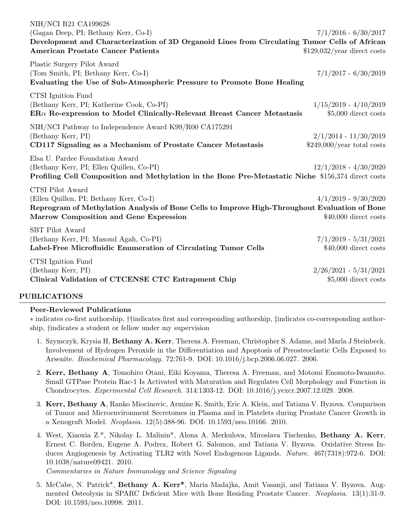| NIH/NCI R21 CA199628<br>(Gagan Deep, PI; Bethany Kerr, Co-I)<br>Development and Characterization of 3D Organoid Lines from Circulating Tumor Cells of African<br><b>American Prostate Cancer Patients</b> | $7/1/2016 - 6/30/2017$<br>$$129,032/year$ direct costs |
|-----------------------------------------------------------------------------------------------------------------------------------------------------------------------------------------------------------|--------------------------------------------------------|
| Plastic Surgery Pilot Award<br>(Tom Smith, PI; Bethany Kerr, Co-I)<br>Evaluating the Use of Sub-Atmospheric Pressure to Promote Bone Healing                                                              | $7/1/2017 - 6/30/2019$                                 |
| CTSI Ignition Fund<br>(Bethany Kerr, PI; Katherine Cook, Co-PI)<br>$ER\alpha$ Re-expression to Model Clinically-Relevant Breast Cancer Metastasis                                                         | $1/15/2019 - 4/10/2019$<br>\$5,000 direct costs        |
| NIH/NCI Pathway to Independence Award K99/R00 CA175291<br>(Bethany Kerr, PI)<br>CD117 Signaling as a Mechanism of Prostate Cancer Metastasis                                                              | $2/1/2014 - 11/30/2019$<br>$$249,000/year$ total costs |
| Elsa U. Pardee Foundation Award<br>(Bethany Kerr, PI; Ellen Quillen, Co-PI)<br>Profiling Cell Composition and Methylation in the Bone Pre-Metastatic Niche \$156,374 direct costs                         | $12/1/2018 - 4/30/2020$                                |
| CTSI Pilot Award<br>(Ellen Quillen, PI; Bethany Kerr, Co-I)<br>Reprogram of Methylation Analysis of Bone Cells to Improve High-Throughout Evaluation of Bone<br>Marrow Composition and Gene Expression    | $4/1/2019 - 9/30/2020$<br>$$40,000$ direct costs       |
| <b>SBT</b> Pilot Award<br>(Bethany Kerr, PI; Masoud Agah, Co-PI)<br>Label-Free Microfluidic Enumeration of Circulating Tumor Cells                                                                        | $7/1/2019 - 5/31/2021$<br>$$40,000$ direct costs       |
| CTSI Ignition Fund<br>(Bethany Kerr, PI)<br>Clinical Validation of CTCENSE CTC Entrapment Chip                                                                                                            | $2/26/2021 - 5/31/2021$<br>$$5,000$ direct costs       |

## PUBLICATIONS

#### Peer-Reviewed Publications

∗ indicates co-first authorship, ††indicates first and corresponding authorship, ‡indicates co-corresponding authorship, †indicates a student or fellow under my supervision

- 1. Szymczyk, Krysia H, Bethany A. Kerr, Theresa A. Freeman, Christopher S. Adams, and Marla J Steinbeck. Involvement of Hydrogen Peroxide in the Differentiation and Apoptosis of Preosteoclastic Cells Exposed to Arsenite. Biochemical Pharmacology. 72:761-9. DOI: 10.1016/j.bcp.2006.06.027. 2006.
- 2. Kerr, Bethany A, Tomohiro Otani, Eiki Koyama, Theresa A. Freeman, and Motomi Enomoto-Iwamoto. Small GTPase Protein Rac-1 Is Activated with Maturation and Regulates Cell Morphology and Function in Chondrocytes. Experimental Cell Research. 314:1303-12. DOI: 10.1016/j.yexcr.2007.12.029. 2008.
- 3. Kerr, Bethany A, Ranko Miocinovic, Armine K. Smith, Eric A. Klein, and Tatiana V. Byzova. Comparison of Tumor and Microenvironment Secretomes in Plasma and in Platelets during Prostate Cancer Growth in a Xenograft Model. Neoplasia. 12(5):388-96. DOI: 10.1593/neo.10166. 2010.
- 4. West, Xiaoxia Z.\*, Nikolay L. Malinin\*, Alona A. Merkulova, Miroslava Tischenko, Bethany A. Kerr, Ernest C. Borden, Eugene A. Podrez, Robert G. Salomon, and Tatiana V. Byzova. Oxidative Stress Induces Angiogenesis by Activating TLR2 with Novel Endogenous Ligands. Nature. 467(7318):972-6. DOI: 10.1038/nature09421. 2010.

Commentaries in Nature Immunology and Science Signaling

5. McCabe, N. Patrick\*, Bethany A. Kerr\*, Maria Madajka, Amit Vasanji, and Tatiana V. Byzova. Augmented Osteolysis in SPARC Deficient Mice with Bone Residing Prostate Cancer. Neoplasia. 13(1):31-9. DOI: 10.1593/neo.10998. 2011.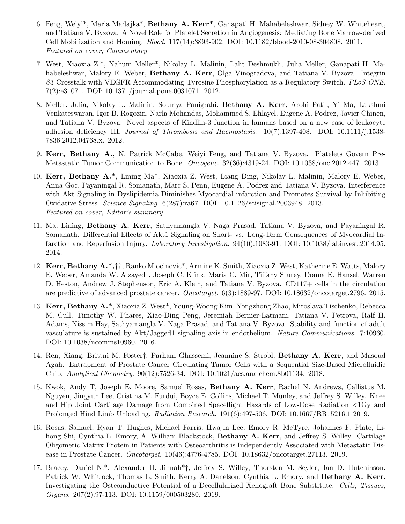- 6. Feng, Weiyi\*, Maria Madajka\*, Bethany A. Kerr\*, Ganapati H. Mahabeleshwar, Sidney W. Whiteheart, and Tatiana V. Byzova. A Novel Role for Platelet Secretion in Angiogenesis: Mediating Bone Marrow-derived Cell Mobilization and Homing. Blood. 117(14):3893-902. DOI: 10.1182/blood-2010-08-304808. 2011. Featured on cover; Commentary
- 7. West, Xiaoxia Z.\*, Nahum Meller\*, Nikolay L. Malinin, Lalit Deshmukh, Julia Meller, Ganapati H. Mahabeleshwar, Malory E. Weber, **Bethany A. Kerr**, Olga Vinogradova, and Tatiana V. Byzova. Integrin  $\beta$ 3 Crosstalk with VEGFR Accommodating Tyrosine Phosphorylation as a Regulatory Switch. PLoS ONE. 7(2):e31071. DOI: 10.1371/journal.pone.0031071. 2012.
- 8. Meller, Julia, Nikolay L. Malinin, Soumya Panigrahi, Bethany A. Kerr, Arohi Patil, Yi Ma, Lakshmi Venkateswaran, Igor B. Rogozin, Narla Mohandas, Mohammed S. Ehlayel, Eugene A. Podrez, Javier Chinen, and Tatiana V. Byzova. Novel aspects of Kindlin-3 function in humans based on a new case of leukocyte adhesion deficiency III. Journal of Thrombosis and Haemostasis. 10(7):1397-408. DOI: 10.1111/j.1538-7836.2012.04768.x. 2012.
- 9. Kerr, Bethany A., N. Patrick McCabe, Weiyi Feng, and Tatiana V. Byzova. Platelets Govern Pre-Metastatic Tumor Communication to Bone. *Oncogene.* 32(36):4319-24. DOI: 10.1038/onc.2012.447. 2013.
- 10. Kerr, Bethany A.\*, Lining Ma\*, Xiaoxia Z. West, Liang Ding, Nikolay L. Malinin, Malory E. Weber, Anna Goc, Payaningal R. Somanath, Marc S. Penn, Eugene A. Podrez and Tatiana V. Byzova. Interference with Akt Signaling in Dyslipidemia Diminishes Myocardial infarction and Promotes Survival by Inhibiting Oxidative Stress. Science Signaling. 6(287):ra67. DOI: 10.1126/scisignal.2003948. 2013. Featured on cover, Editor's summary
- 11. Ma, Lining, Bethany A. Kerr, Sathyamangla V. Naga Prasad, Tatiana V. Byzova, and Payaningal R. Somanath. Differential Effects of Akt1 Signaling on Short- vs. Long-Term Consequences of Myocardial Infarction and Reperfusion Injury. Laboratory Investigation. 94(10):1083-91. DOI: 10.1038/labinvest.2014.95. 2014.
- 12. Kerr, Bethany A.\*,††, Ranko Miocinovic\*, Armine K. Smith, Xiaoxia Z. West, Katherine E. Watts, Malory E. Weber, Amanda W. Alzayed†, Joseph C. Klink, Maria C. Mir, Tiffany Sturey, Donna E. Hansel, Warren D. Heston, Andrew J. Stephenson, Eric A. Klein, and Tatiana V. Byzova. CD117+ cells in the circulation are predictive of advanced prostate cancer. Oncotarget. 6(3):1889-97. DOI: 10.18632/oncotarget.2796. 2015.
- 13. Kerr, Bethany A.\*, Xiaoxia Z. West\*, Young-Woong Kim, Yongzhong Zhao, Miroslava Tischenko, Rebecca M. Cull, Timothy W. Phares, Xiao-Ding Peng, Jeremiah Bernier-Latmani, Tatiana V. Petrova, Ralf H. Adams, Nissim Hay, Sathyamangla V. Naga Prasad, and Tatiana V. Byzova. Stability and function of adult vasculature is sustained by Akt/Jagged1 signaling axis in endothelium. Nature Communications. 7:10960. DOI: 10.1038/ncomms10960. 2016.
- 14. Ren, Xiang, Brittni M. Foster†, Parham Ghassemi, Jeannine S. Strobl, Bethany A. Kerr, and Masoud Agah. Entrapment of Prostate Cancer Circulating Tumor Cells with a Sequential Size-Based Microfluidic Chip. Analytical Chemistry. 90(12):7526-34. DOI: 10.1021/acs.analchem.8b01134. 2018.
- 15. Kwok, Andy T, Joseph E. Moore, Samuel Rosas, Bethany A. Kerr, Rachel N. Andrews, Callistus M. Nguyen, Jingyun Lee, Cristina M. Furdui, Boyce E. Collins, Michael T. Munley, and Jeffrey S. Willey. Knee and Hip Joint Cartilage Damage from Combined Spaceflight Hazards of Low-Dose Radiation <1Gy and Prolonged Hind Limb Unloading. Radiation Research. 191(6):497-506. DOI: 10.1667/RR15216.1 2019.
- 16. Rosas, Samuel, Ryan T. Hughes, Michael Farris, Hwajin Lee, Emory R. McTyre, Johannes F. Plate, Lihong Shi, Cynthia L. Emory, A. William Blackstock, **Bethany A. Kerr**, and Jeffrey S. Willey. Cartilage Oligomeric Matrix Protein in Patients with Osteoarthritis is Independently Associated with Metastatic Disease in Prostate Cancer. Oncotarget. 10(46):4776-4785. DOI: 10.18632/oncotarget.27113. 2019.
- 17. Bracey, Daniel N.\*, Alexander H. Jinnah\*†, Jeffrey S. Willey, Thorsten M. Seyler, Ian D. Hutchinson, Patrick W. Whitlock, Thomas L. Smith, Kerry A. Danelson, Cynthia L. Emory, and Bethany A. Kerr. Investigating the Osteoinductive Potential of a Decellularized Xenograft Bone Substitute. Cells, Tissues, Organs. 207(2):97-113. DOI: 10.1159/000503280. 2019.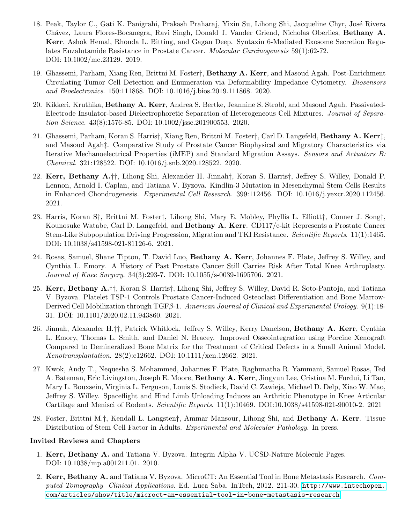- 18. Peak, Taylor C., Gati K. Panigrahi, Prakash Praharaj, Yixin Su, Lihong Shi, Jacqueline Chyr, Jos´e Rivera Chávez, Laura Flores-Bocanegra, Ravi Singh, Donald J. Vander Griend, Nicholas Oberlies, Bethany A. Kerr, Ashok Hemal, Rhonda L. Bitting, and Gagan Deep. Syntaxin 6-Mediated Exosome Secretion Regulates Enzalutamide Resistance in Prostate Cancer. Molecular Carcinogenesis 59(1):62-72. DOI: 10.1002/mc.23129. 2019.
- 19. Ghassemi, Parham, Xiang Ren, Brittni M. Foster†, Bethany A. Kerr, and Masoud Agah. Post-Enrichment Circulating Tumor Cell Detection and Enumeration via Deformability Impedance Cytometry. Biosensors and Bioelectronics. 150:111868. DOI: 10.1016/j.bios.2019.111868. 2020.
- 20. Kikkeri, Kruthika, Bethany A. Kerr, Andrea S. Bertke, Jeannine S. Strobl, and Masoud Agah. Passivated-Electrode Insulator-based Dielectrophoretic Separation of Heterogeneous Cell Mixtures. Journal of Separation Science. 43(8):1576-85. DOI: 10.1002/jssc.201900553. 2020.
- 21. Ghassemi, Parham, Koran S. Harris†, Xiang Ren, Brittni M. Foster†, Carl D. Langefeld, Bethany A. Kerr‡, and Masoud Agah‡. Comparative Study of Prostate Cancer Biophysical and Migratory Characteristics via Iterative Mechanoelectrical Properties (iMEP) and Standard Migration Assays. Sensors and Actuators B: Chemical. 321:128522. DOI: 10.1016/j.snb.2020.128522. 2020.
- 22. Kerr, Bethany A.††, Lihong Shi, Alexander H. Jinnah†, Koran S. Harris†, Jeffrey S. Willey, Donald P. Lennon, Arnold I. Caplan, and Tatiana V. Byzova. Kindlin-3 Mutation in Mesenchymal Stem Cells Results in Enhanced Chondrogenesis. Experimental Cell Research. 399:112456. DOI: 10.1016/j.yexcr.2020.112456. 2021.
- 23. Harris, Koran S†, Brittni M. Foster†, Lihong Shi, Mary E. Mobley, Phyllis L. Elliott†, Conner J. Song†, Kounosuke Watabe, Carl D. Langefeld, and Bethany A. Kerr. CD117/c-kit Represents a Prostate Cancer Stem-Like Subpopulation Driving Progression, Migration and TKI Resistance. Scientific Reports. 11(1):1465. DOI: 10.1038/s41598-021-81126-6. 2021.
- 24. Rosas, Samuel, Shane Tipton, T. David Luo, Bethany A. Kerr, Johannes F. Plate, Jeffrey S. Willey, and Cynthia L. Emory. A History of Past Prostate Cancer Still Carries Risk After Total Knee Arthroplasty. Journal of Knee Surgery. 34(3):293-7. DOI: 10.1055/s-0039-1695706. 2021.
- 25. Kerr, Bethany A.††, Koran S. Harris†, Lihong Shi, Jeffrey S. Willey, David R. Soto-Pantoja, and Tatiana V. Byzova. Platelet TSP-1 Controls Prostate Cancer-Induced Osteoclast Differentiation and Bone Marrow-Derived Cell Mobilization through TGFβ-1. American Journal of Clinical and Experimental Urology. 9(1):18- 31. DOI: 10.1101/2020.02.11.943860. 2021.
- 26. Jinnah, Alexander H.††, Patrick Whitlock, Jeffrey S. Willey, Kerry Danelson, Bethany A. Kerr, Cynthia L. Emory, Thomas L. Smith, and Daniel N. Bracey. Improved Osseointegration using Porcine Xenograft Compared to Demineralized Bone Matrix for the Treatment of Critical Defects in a Small Animal Model. Xenotransplantation. 28(2):e12662. DOI: 10.1111/xen.12662. 2021.
- 27. Kwok, Andy T., Nequesha S. Mohammed, Johannes F. Plate, Raghunatha R. Yammani, Samuel Rosas, Ted A. Bateman, Eric Livingston, Joseph E. Moore, Bethany A. Kerr, Jingyun Lee, Cristina M. Furdui, Li Tan, Mary L. Bouxsein, Virginia L. Ferguson, Louis S. Stodieck, David C. Zawieja, Michael D. Delp, Xiao W. Mao, Jeffrey S. Willey. Spaceflight and Hind Limb Unloading Induces an Arthritic Phenotype in Knee Articular Cartilage and Menisci of Rodents. Scientific Reports. 11(1):10469. DOI:10.1038/s41598-021-90010-2. 2021
- 28. Foster, Brittni M.†, Kendall L. Langsten†, Ammar Mansour, Lihong Shi, and Bethany A. Kerr. Tissue Distribution of Stem Cell Factor in Adults. Experimental and Molecular Pathology. In press.

#### Invited Reviews and Chapters

- 1. Kerr, Bethany A. and Tatiana V. Byzova. Integrin Alpha V. UCSD-Nature Molecule Pages. DOI: 10.1038/mp.a001211.01. 2010.
- 2. Kerr, Bethany A. and Tatiana V. Byzova. MicroCT: An Essential Tool in Bone Metastasis Research. Computed Tomography Clinical Applications. Ed. Luca Saba. InTech, 2012. 211-30. [http://www.intechopen.](http://www.intechopen.com/articles/show/title/microct-an-essential-tool-in-bone-metastasis-research) [com/articles/show/title/microct-an-essential-tool-in-bone-metastasis-research](http://www.intechopen.com/articles/show/title/microct-an-essential-tool-in-bone-metastasis-research)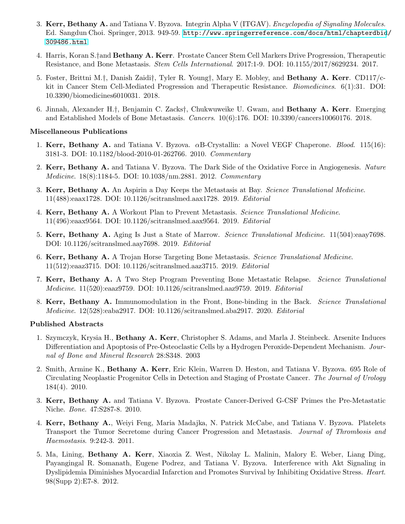- 3. Kerr, Bethany A. and Tatiana V. Byzova. Integrin Alpha V (ITGAV). Encyclopedia of Signaling Molecules. Ed. Sangdun Choi. Springer, 2013. 949-59. [http://www.springerreference.com/docs/html/chapterdbid](http://www.springerreference.com/docs/html/chapterdbid/309486.html)/ [309486.html](http://www.springerreference.com/docs/html/chapterdbid/309486.html)
- 4. Harris, Koran S.†and Bethany A. Kerr. Prostate Cancer Stem Cell Markers Drive Progression, Therapeutic Resistance, and Bone Metastasis. Stem Cells International. 2017:1-9. DOI: 10.1155/2017/8629234. 2017.
- 5. Foster, Brittni M.†, Danish Zaidi†, Tyler R. Young†, Mary E. Mobley, and Bethany A. Kerr. CD117/ckit in Cancer Stem Cell-Mediated Progression and Therapeutic Resistance. *Biomedicines.* 6(1):31. DOI: 10.3390/biomedicines6010031. 2018.
- 6. Jinnah, Alexander H.†, Benjamin C. Zacks†, Chukwuweike U. Gwam, and Bethany A. Kerr. Emerging and Established Models of Bone Metastasis. Cancers. 10(6):176. DOI: 10.3390/cancers10060176. 2018.

#### Miscellaneous Publications

- 1. Kerr, Bethany A. and Tatiana V. Byzova. αB-Crystallin: a Novel VEGF Chaperone. Blood. 115(16): 3181-3. DOI: 10.1182/blood-2010-01-262766. 2010. Commentary
- 2. Kerr, Bethany A. and Tatiana V. Byzova. The Dark Side of the Oxidative Force in Angiogenesis. Nature Medicine. 18(8):1184-5. DOI: 10.1038/nm.2881. 2012. Commentary
- 3. Kerr, Bethany A. An Aspirin a Day Keeps the Metastasis at Bay. Science Translational Medicine. 11(488):eaax1728. DOI: 10.1126/scitranslmed.aax1728. 2019. Editorial
- 4. Kerr, Bethany A. A Workout Plan to Prevent Metastasis. Science Translational Medicine. 11(496):eaax9564. DOI: 10.1126/scitranslmed.aax9564. 2019. Editorial
- 5. Kerr, Bethany A. Aging Is Just a State of Marrow. Science Translational Medicine. 11(504):eaay7698. DOI: 10.1126/scitranslmed.aay7698. 2019. Editorial
- 6. Kerr, Bethany A. A Trojan Horse Targeting Bone Metastasis. Science Translational Medicine. 11(512):eaaz3715. DOI: 10.1126/scitranslmed.aaz3715. 2019. Editorial
- 7. Kerr, Bethany A. A Two Step Program Preventing Bone Metastatic Relapse. Science Translational Medicine. 11(520):eaaz9759. DOI: 10.1126/scitranslmed.aaz9759. 2019. Editorial
- 8. Kerr, Bethany A. Immunomodulation in the Front, Bone-binding in the Back. Science Translational Medicine. 12(528):eaba2917. DOI: 10.1126/scitranslmed.aba2917. 2020. Editorial

## Published Abstracts

- 1. Szymczyk, Krysia H., Bethany A. Kerr, Christopher S. Adams, and Marla J. Steinbeck. Arsenite Induces Differentiation and Apoptosis of Pre-Osteoclastic Cells by a Hydrogen Peroxide-Dependent Mechanism. Journal of Bone and Mineral Research 28:S348. 2003
- 2. Smith, Armine K., Bethany A. Kerr, Eric Klein, Warren D. Heston, and Tatiana V. Byzova. 695 Role of Circulating Neoplastic Progenitor Cells in Detection and Staging of Prostate Cancer. The Journal of Urology 184(4). 2010.
- 3. Kerr, Bethany A. and Tatiana V. Byzova. Prostate Cancer-Derived G-CSF Primes the Pre-Metastatic Niche. Bone. 47:S287-8. 2010.
- 4. Kerr, Bethany A., Weiyi Feng, Maria Madajka, N. Patrick McCabe, and Tatiana V. Byzova. Platelets Transport the Tumor Secretome during Cancer Progression and Metastasis. Journal of Thrombosis and Haemostasis. 9:242-3. 2011.
- 5. Ma, Lining, Bethany A. Kerr, Xiaoxia Z. West, Nikolay L. Malinin, Malory E. Weber, Liang Ding, Payangingal R. Somanath, Eugene Podrez, and Tatiana V. Byzova. Interference with Akt Signaling in Dyslipidemia Diminishes Myocardial Infarction and Promotes Survival by Inhibiting Oxidative Stress. Heart. 98(Supp 2):E7-8. 2012.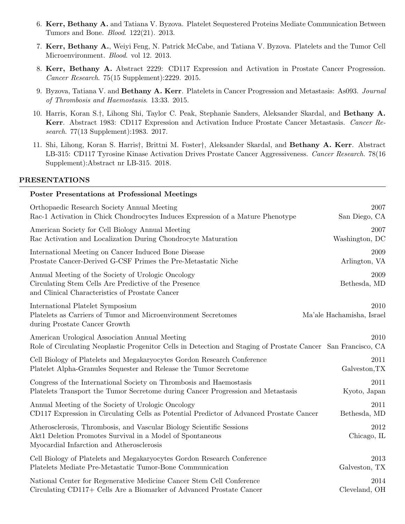- 6. Kerr, Bethany A. and Tatiana V. Byzova. Platelet Sequestered Proteins Mediate Communication Between Tumors and Bone. Blood. 122(21). 2013.
- 7. Kerr, Bethany A., Weiyi Feng, N. Patrick McCabe, and Tatiana V. Byzova. Platelets and the Tumor Cell Microenvironment. Blood. vol 12. 2013.
- 8. Kerr, Bethany A. Abstract 2229: CD117 Expression and Activation in Prostate Cancer Progression. Cancer Research. 75(15 Supplement):2229. 2015.
- 9. Byzova, Tatiana V. and Bethany A. Kerr. Platelets in Cancer Progression and Metastasis: As093. Journal of Thrombosis and Haemostasis. 13:33. 2015.
- 10. Harris, Koran S.†, Lihong Shi, Taylor C. Peak, Stephanie Sanders, Aleksander Skardal, and Bethany A. Kerr. Abstract 1983: CD117 Expression and Activation Induce Prostate Cancer Metastasis. Cancer Research. 77(13 Supplement):1983. 2017.
- 11. Shi, Lihong, Koran S. Harris†, Brittni M. Foster†, Aleksander Skardal, and Bethany A. Kerr. Abstract LB-315: CD117 Tyrosine Kinase Activation Drives Prostate Cancer Aggressiveness. Cancer Research. 78(16) Supplement):Abstract nr LB-315. 2018.

#### PRESENTATIONS

# Poster Presentations at Professional Meetings Orthopaedic Research Society Annual Meeting 2007 Rac-1 Activation in Chick Chondrocytes Induces Expression of a Mature Phenotype San Diego, CA American Society for Cell Biology Annual Meeting 2007 Rac Activation and Localization During Chondrocyte Maturation Washington, DC International Meeting on Cancer Induced Bone Disease 2009 Prostate Cancer-Derived G-CSF Primes the Pre-Metastatic Niche Arlington, VA Annual Meeting of the Society of Urologic Oncology 2009 Circulating Stem Cells Are Predictive of the Presence Bethesda, MD and Clinical Characteristics of Prostate Cancer International Platelet Symposium 2010 Platelets as Carriers of Tumor and Microenvironment Secretomes Ma'ale Hachamisha, Israel during Prostate Cancer Growth American Urological Association Annual Meeting 2010 Role of Circulating Neoplastic Progenitor Cells in Detection and Staging of Prostate Cancer San Francisco, CA Cell Biology of Platelets and Megakaryocytes Gordon Research Conference 2011 Platelet Alpha-Granules Sequester and Release the Tumor Secretome Galveston,TX Congress of the International Society on Thrombosis and Haemostasis 2011 Platelets Transport the Tumor Secretome during Cancer Progression and Metastasis Kyoto, Japan Annual Meeting of the Society of Urologic Oncology 2011 CD117 Expression in Circulating Cells as Potential Predictor of Advanced Prostate Cancer Bethesda, MD Atherosclerosis, Thrombosis, and Vascular Biology Scientific Sessions 2012 Akt1 Deletion Promotes Survival in a Model of Spontaneous Chicago, IL Myocardial Infarction and Atherosclerosis Cell Biology of Platelets and Megakaryocytes Gordon Research Conference 2013 Platelets Mediate Pre-Metastatic Tumor-Bone Communication Galveston, TX National Center for Regenerative Medicine Cancer Stem Cell Conference 2014 Circulating CD117+ Cells Are a Biomarker of Advanced Prostate Cancer Cleveland, OH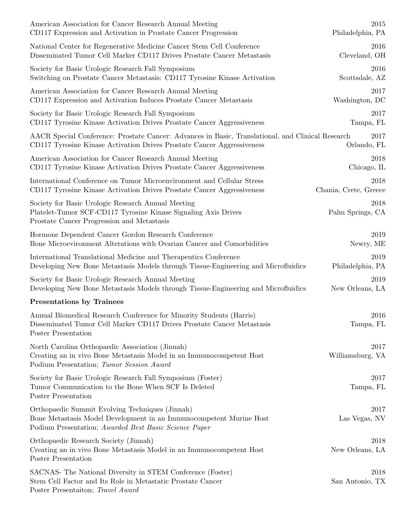| American Association for Cancer Research Annual Meeting                                                                                                                         | 2015                     |
|---------------------------------------------------------------------------------------------------------------------------------------------------------------------------------|--------------------------|
| CD117 Expression and Activation in Prostate Cancer Progression                                                                                                                  | Philadelphia, PA         |
| National Center for Regenerative Medicine Cancer Stem Cell Conference                                                                                                           | 2016                     |
| Disseminated Tumor Cell Marker CD117 Drives Prostate Cancer Metastasis                                                                                                          | Cleveland, OH            |
| Society for Basic Urologic Research Fall Symposium                                                                                                                              | 2016                     |
| Switching on Prostate Cancer Metastasis: CD117 Tyrosine Kinase Activation                                                                                                       | Scottsdale, AZ           |
| American Association for Cancer Research Annual Meeting                                                                                                                         | 2017                     |
| CD117 Expression and Activation Induces Prostate Cancer Metastasis                                                                                                              | Washington, DC           |
| Society for Basic Urologic Research Fall Symposium                                                                                                                              | 2017                     |
| CD117 Tyrosine Kinase Activation Drives Prostate Cancer Aggressiveness                                                                                                          | Tampa, FL                |
| AACR Special Conference: Prostate Cancer: Advances in Basic, Translational, and Clinical Research                                                                               | 2017                     |
| CD117 Tyrosine Kinase Activation Drives Prostate Cancer Aggressiveness                                                                                                          | Orlando, FL              |
| American Association for Cancer Research Annual Meeting                                                                                                                         | 2018                     |
| CD117 Tyrosine Kinase Activation Drives Prostate Cancer Aggressiveness                                                                                                          | Chicago, IL              |
| International Conference on Tumor Microenvironment and Cellular Stress                                                                                                          | 2018                     |
| CD117 Tyrosine Kinase Activation Drives Prostate Cancer Aggressiveness                                                                                                          | Chania, Crete, Greece    |
| Society for Basic Urologic Research Annual Meeting<br>Platelet-Tumor SCF-CD117 Tyrosine Kinase Signaling Axis Drives<br>Prostate Cancer Progression and Metastasis              | 2018<br>Palm Springs, CA |
| Hormone Dependent Cancer Gordon Research Conference                                                                                                                             | 2019                     |
| Bone Microevironment Alterations with Ovarian Cancer and Comorbidities                                                                                                          | Newry, ME                |
| International Translational Medicine and Therapeutics Conference                                                                                                                | 2019                     |
| Developing New Bone Metastasis Models through Tissue-Engineering and Microfluidics                                                                                              | Philadelphia, PA         |
| Society for Basic Urologic Research Annual Meeting                                                                                                                              | 2019                     |
| Developing New Bone Metastasis Models through Tissue-Engineering and Microfluidics                                                                                              | New Orleans, LA          |
| <b>Presentations by Trainees</b>                                                                                                                                                |                          |
| Annual Biomedical Research Conference for Minority Students (Harris)<br>Disseminated Tumor Cell Marker CD117 Drives Prostate Cancer Metastasis<br>Poster Presentation           | 2016<br>Tampa, FL        |
| North Carolina Orthopaedic Association (Jinnah)<br>Creating an in vivo Bone Metastasis Model in an Immunocompetent Host<br>Podium Presentation; Tumor Session Award             | 2017<br>Williamsburg, VA |
| Society for Basic Urologic Research Fall Symposium (Foster)<br>Tumor Communication to the Bone When SCF Is Deleted<br>Poster Presentation                                       | 2017<br>Tampa, FL        |
| Orthopaedic Summit Evolving Techniques (Jinnah)<br>Bone Metastasis Model Development in an Immunocompetent Murine Host<br>Podium Presentation; Awarded Best Basic Science Paper | 2017<br>Las Vegas, NV    |
| Orthopaedic Research Society (Jinnah)<br>Creating an in vivo Bone Metastasis Model in an Immunocompetent Host<br>Poster Presentation                                            | 2018<br>New Orleans, LA  |
| SACNAS- The National Diversity in STEM Conference (Foster)<br>Stem Cell Factor and Its Role in Metastatic Prostate Cancer<br>Poster Presentaiton; Travel Award                  | 2018<br>San Antonio, TX  |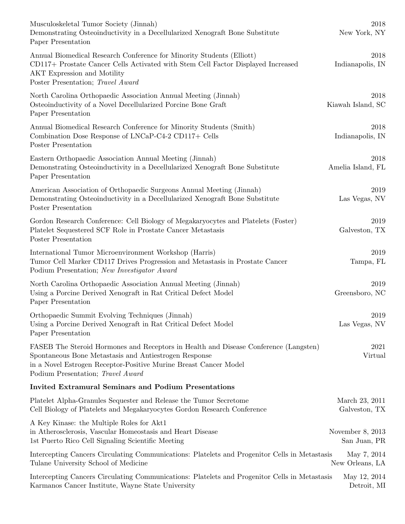| Musculoskeletal Tumor Society (Jinnah)<br>Demonstrating Osteoinductivity in a Decellularized Xenograft Bone Substitute<br>Paper Presentation                                                                                                           | 2018<br>New York, NY               |
|--------------------------------------------------------------------------------------------------------------------------------------------------------------------------------------------------------------------------------------------------------|------------------------------------|
| Annual Biomedical Research Conference for Minority Students (Elliott)<br>CD117+ Prostate Cancer Cells Activated with Stem Cell Factor Displayed Increased<br>AKT Expression and Motility<br>Poster Presentation; Travel Award                          | 2018<br>Indianapolis, IN           |
| North Carolina Orthopaedic Association Annual Meeting (Jinnah)<br>Osteoinductivity of a Novel Decellularized Porcine Bone Graft<br>Paper Presentation                                                                                                  | 2018<br>Kiawah Island, SC          |
| Annual Biomedical Research Conference for Minority Students (Smith)<br>Combination Dose Response of LNCaP-C4-2 CD117+ Cells<br>Poster Presentation                                                                                                     | 2018<br>Indianapolis, IN           |
| Eastern Orthopaedic Association Annual Meeting (Jinnah)<br>Demonstrating Osteoinductivity in a Decellularized Xenograft Bone Substitute<br>Paper Presentation                                                                                          | 2018<br>Amelia Island, FL          |
| American Association of Orthopaedic Surgeons Annual Meeting (Jinnah)<br>Demonstrating Osteoinductivity in a Decellularized Xenograft Bone Substitute<br>Poster Presentation                                                                            | 2019<br>Las Vegas, NV              |
| Gordon Research Conference: Cell Biology of Megakaryocytes and Platelets (Foster)<br>Platelet Sequestered SCF Role in Prostate Cancer Metastasis<br>Poster Presentation                                                                                | 2019<br>Galveston, TX              |
| International Tumor Microenvironment Workshop (Harris)<br>Tumor Cell Marker CD117 Drives Progression and Metastasis in Prostate Cancer<br>Podium Presentation; New Investigator Award                                                                  | 2019<br>Tampa, FL                  |
| North Carolina Orthopaedic Association Annual Meeting (Jinnah)<br>Using a Porcine Derived Xenograft in Rat Critical Defect Model<br>Paper Presentation                                                                                                 | 2019<br>Greensboro, NC             |
| Orthopaedic Summit Evolving Techniques (Jinnah)<br>Using a Porcine Derived Xenograft in Rat Critical Defect Model<br>Paper Presentation                                                                                                                | 2019<br>Las Vegas, NV              |
| FASEB The Steroid Hormones and Receptors in Health and Disease Conference (Langsten)<br>Spontaneous Bone Metastasis and Antiestrogen Response<br>in a Novel Estrogen Receptor-Positive Murine Breast Cancer Model<br>Podium Presentation; Travel Award | 2021<br>Virtual                    |
| <b>Invited Extramural Seminars and Podium Presentations</b>                                                                                                                                                                                            |                                    |
| Platelet Alpha-Granules Sequester and Release the Tumor Secretome<br>Cell Biology of Platelets and Megakaryocytes Gordon Research Conference                                                                                                           | March 23, 2011<br>Galveston, TX    |
| A Key Kinase: the Multiple Roles for Akt1<br>in Atherosclerosis, Vascular Homeostasis and Heart Disease<br>1st Puerto Rico Cell Signaling Scientific Meeting                                                                                           | November $8, 2013$<br>San Juan, PR |
| Intercepting Cancers Circulating Communications: Platelets and Progenitor Cells in Metastasis<br>Tulane University School of Medicine                                                                                                                  | May 7, 2014<br>New Orleans, LA     |
| Intercepting Cancers Circulating Communications: Platelets and Progenitor Cells in Metastasis<br>Karmanos Cancer Institute, Wayne State University                                                                                                     | May 12, 2014<br>Detroit, MI        |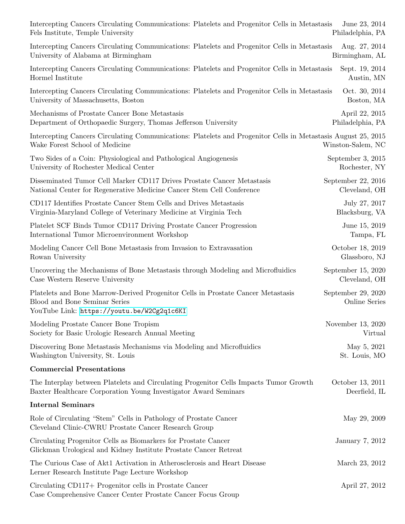| Intercepting Cancers Circulating Communications: Platelets and Progenitor Cells in Metastasis                                                                   | June 23, 2014                       |
|-----------------------------------------------------------------------------------------------------------------------------------------------------------------|-------------------------------------|
| Fels Institute, Temple University                                                                                                                               | Philadelphia, PA                    |
| Intercepting Cancers Circulating Communications: Platelets and Progenitor Cells in Metastasis                                                                   | Aug. 27, 2014                       |
| University of Alabama at Birmingham                                                                                                                             | Birmingham, AL                      |
| Intercepting Cancers Circulating Communications: Platelets and Progenitor Cells in Metastasis                                                                   | Sept. 19, 2014                      |
| Hormel Institute                                                                                                                                                | Austin, MN                          |
| Intercepting Cancers Circulating Communications: Platelets and Progenitor Cells in Metastasis                                                                   | Oct. 30, 2014                       |
| University of Massachusetts, Boston                                                                                                                             | Boston, MA                          |
| Mechanisms of Prostate Cancer Bone Metastasis                                                                                                                   | April 22, 2015                      |
| Department of Orthopaedic Surgery, Thomas Jefferson University                                                                                                  | Philadelphia, PA                    |
| Intercepting Cancers Circulating Communications: Platelets and Progenitor Cells in Metastasis August 25, 2015<br>Wake Forest School of Medicine                 | Winston-Salem, NC                   |
| Two Sides of a Coin: Physiological and Pathological Angiogenesis                                                                                                | September 3, 2015                   |
| University of Rochester Medical Center                                                                                                                          | Rochester, NY                       |
| Disseminated Tumor Cell Marker CD117 Drives Prostate Cancer Metastasis                                                                                          | September 22, 2016                  |
| National Center for Regenerative Medicine Cancer Stem Cell Conference                                                                                           | Cleveland, OH                       |
| CD117 Identifies Prostate Cancer Stem Cells and Drives Metastasis                                                                                               | July 27, 2017                       |
| Virginia-Maryland College of Veterinary Medicine at Virginia Tech                                                                                               | Blacksburg, VA                      |
| Platelet SCF Binds Tumor CD117 Driving Prostate Cancer Progression                                                                                              | June 15, 2019                       |
| International Tumor Microenvironment Workshop                                                                                                                   | Tampa, FL                           |
| Modeling Cancer Cell Bone Metastasis from Invasion to Extravasation                                                                                             | October 18, 2019                    |
| Rowan University                                                                                                                                                | Glassboro, NJ                       |
| Uncovering the Mechanisms of Bone Metastasis through Modeling and Microfluidics                                                                                 | September 15, 2020                  |
| Case Western Reserve University                                                                                                                                 | Cleveland, OH                       |
| Platelets and Bone Marrow-Derived Progenitor Cells in Prostate Cancer Metastasis<br>Blood and Bone Seminar Series<br>YouTube Link: https://youtu.be/W2Cg2q1c6KI | September 29, 2020<br>Online Series |
| Modeling Prostate Cancer Bone Tropism                                                                                                                           | November 13, 2020                   |
| Society for Basic Urologic Research Annual Meeting                                                                                                              | Virtual                             |
| Discovering Bone Metastasis Mechanisms via Modeling and Microfluidics                                                                                           | May 5, 2021                         |
| Washington University, St. Louis                                                                                                                                | St. Louis, MO                       |
| <b>Commercial Presentations</b>                                                                                                                                 |                                     |
| The Interplay between Platelets and Circulating Progenitor Cells Impacts Tumor Growth                                                                           | October 13, 2011                    |
| Baxter Healthcare Corporation Young Investigator Award Seminars                                                                                                 | Deerfield, IL                       |
| <b>Internal Seminars</b>                                                                                                                                        |                                     |
| Role of Circulating "Stem" Cells in Pathology of Prostate Cancer<br>Cleveland Clinic-CWRU Prostate Cancer Research Group                                        | May 29, 2009                        |
| Circulating Progenitor Cells as Biomarkers for Prostate Cancer<br>Glickman Urological and Kidney Institute Prostate Cancer Retreat                              | January 7, 2012                     |
| The Curious Case of Akt1 Activation in Atherosclerosis and Heart Disease<br>Lerner Research Institute Page Lecture Workshop                                     | March 23, 2012                      |
| Circulating CD117+ Progenitor cells in Prostate Cancer<br>Case Comprehensive Cancer Center Prostate Cancer Focus Group                                          | April 27, 2012                      |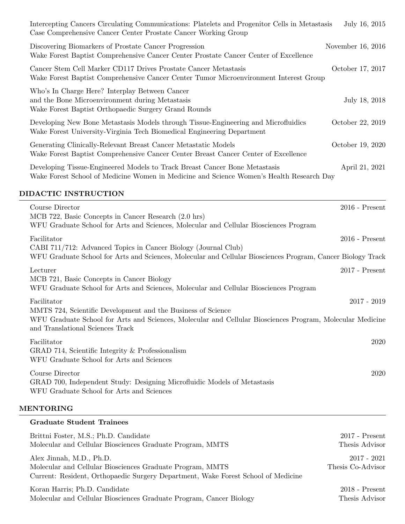| Intercepting Cancers Circulating Communications: Platelets and Progenitor Cells in Metastasis<br>Case Comprehensive Cancer Center Prostate Cancer Working Group                                               | July 16, 2015       |
|---------------------------------------------------------------------------------------------------------------------------------------------------------------------------------------------------------------|---------------------|
| Discovering Biomarkers of Prostate Cancer Progression<br>Wake Forest Baptist Comprehensive Cancer Center Prostate Cancer Center of Excellence                                                                 | November $16, 2016$ |
| Cancer Stem Cell Marker CD117 Drives Prostate Cancer Metastasis<br>Wake Forest Baptist Comprehensive Cancer Center Tumor Microenvironment Interest Group                                                      | October 17, 2017    |
| Who's In Charge Here? Interplay Between Cancer<br>and the Bone Microenvironment during Metastasis<br>Wake Forest Baptist Orthopaedic Surgery Grand Rounds                                                     | July 18, 2018       |
| Developing New Bone Metastasis Models through Tissue-Engineering and Microfluidics<br>Wake Forest University-Virginia Tech Biomedical Engineering Department                                                  | October 22, 2019    |
| Generating Clinically-Relevant Breast Cancer Metastatic Models<br>Wake Forest Baptist Comprehensive Cancer Center Breast Cancer Center of Excellence                                                          | October 19, 2020    |
| Developing Tissue-Engineered Models to Track Breast Cancer Bone Metastasis<br>Wake Forest School of Medicine Women in Medicine and Science Women's Health Research Day                                        | April 21, 2021      |
| DIDACTIC INSTRUCTION                                                                                                                                                                                          |                     |
| Course Director<br>MCB 722, Basic Concepts in Cancer Research (2.0 hrs)<br>WFU Graduate School for Arts and Sciences, Molecular and Cellular Biosciences Program                                              | $2016$ - Present    |
| Facilitator<br>CABI 711/712: Advanced Topics in Cancer Biology (Journal Club)<br>WFU Graduate School for Arts and Sciences, Molecular and Cellular Biosciences Program, Cancer Biology Track                  | $2016$ - Present    |
| Lecturer<br>MCB 721, Basic Concepts in Cancer Biology<br>WFU Graduate School for Arts and Sciences, Molecular and Cellular Biosciences Program                                                                | $2017$ - Present    |
| Facilitator                                                                                                                                                                                                   | $2017 - 2019$       |
| MMTS 724, Scientific Development and the Business of Science<br>WFU Graduate School for Arts and Sciences, Molecular and Cellular Biosciences Program, Molecular Medicine<br>and Translational Sciences Track |                     |
| Facilitator<br>GRAD 714, Scientific Integrity $&$ Professionalism<br>WFU Graduate School for Arts and Sciences                                                                                                | 2020                |
| Course Director<br>GRAD 700, Independent Study: Designing Microfluidic Models of Metastasis<br>WFU Graduate School for Arts and Sciences                                                                      | 2020                |
| <b>MENTORING</b>                                                                                                                                                                                              |                     |
| <b>Graduate Student Trainees</b>                                                                                                                                                                              |                     |

| Brittni Foster, M.S.; Ph.D. Candidate                                                                                                                                      | $2017$ - Present                   |
|----------------------------------------------------------------------------------------------------------------------------------------------------------------------------|------------------------------------|
| Molecular and Cellular Biosciences Graduate Program, MMTS                                                                                                                  | Thesis Advisor                     |
| Alex Jinnah, M.D., Ph.D.<br>Molecular and Cellular Biosciences Graduate Program, MMTS<br>Current: Resident, Orthopaedic Surgery Department, Wake Forest School of Medicine | $2017 - 2021$<br>Thesis Co-Advisor |
| Koran Harris; Ph.D. Candidate                                                                                                                                              | $2018$ - Present                   |
| Molecular and Cellular Biosciences Graduate Program, Cancer Biology                                                                                                        | Thesis Advisor                     |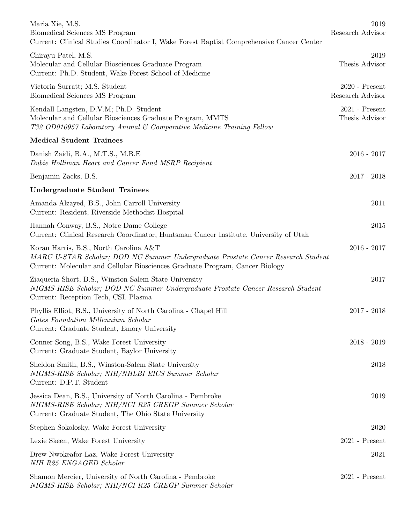| Maria Xie, M.S.<br>Biomedical Sciences MS Program<br>Current: Clinical Studies Coordinator I, Wake Forest Baptist Comprehensive Cancer Center                                                               | 2019<br>Research Advisor             |
|-------------------------------------------------------------------------------------------------------------------------------------------------------------------------------------------------------------|--------------------------------------|
| Chirayu Patel, M.S.<br>Molecular and Cellular Biosciences Graduate Program<br>Current: Ph.D. Student, Wake Forest School of Medicine                                                                        | 2019<br>Thesis Advisor               |
| Victoria Surratt; M.S. Student<br>Biomedical Sciences MS Program                                                                                                                                            | $2020$ - Present<br>Research Advisor |
| Kendall Langsten, D.V.M; Ph.D. Student<br>Molecular and Cellular Biosciences Graduate Program, MMTS<br>T32 OD010957 Laboratory Animal & Comparative Medicine Training Fellow                                | $2021$ - Present<br>Thesis Advisor   |
| <b>Medical Student Trainees</b>                                                                                                                                                                             |                                      |
| Danish Zaidi, B.A., M.T.S., M.B.E<br>Dubie Holliman Heart and Cancer Fund MSRP Recipient                                                                                                                    | $2016 - 2017$                        |
| Benjamin Zacks, B.S.                                                                                                                                                                                        | $2017 - 2018$                        |
| Undergraduate Student Trainees                                                                                                                                                                              |                                      |
| Amanda Alzayed, B.S., John Carroll University<br>Current: Resident, Riverside Methodist Hospital                                                                                                            | 2011                                 |
| Hannah Conway, B.S., Notre Dame College<br>Current: Clinical Research Coordinator, Huntsman Cancer Institute, University of Utah                                                                            | 2015                                 |
| Koran Harris, B.S., North Carolina A&T<br>MARC U-STAR Scholar; DOD NC Summer Undergraduate Prostate Cancer Research Student<br>Current: Molecular and Cellular Biosciences Graduate Program, Cancer Biology | $2016 - 2017$                        |
| Ziaqueria Short, B.S., Winston-Salem State University<br>NIGMS-RISE Scholar; DOD NC Summer Undergraduate Prostate Cancer Research Student<br>Current: Reception Tech, CSL Plasma                            | 2017                                 |
| Phyllis Elliot, B.S., University of North Carolina - Chapel Hill<br>Gates Foundation Millennium Scholar<br>Current: Graduate Student, Emory University                                                      | $2017 - 2018$                        |
| Conner Song, B.S., Wake Forest University<br>Current: Graduate Student, Baylor University                                                                                                                   | $2018 - 2019$                        |
| Sheldon Smith, B.S., Winston-Salem State University<br>NIGMS-RISE Scholar; NIH/NHLBI EICS Summer Scholar<br>Current: D.P.T. Student                                                                         | 2018                                 |
| Jessica Dean, B.S., University of North Carolina - Pembroke<br>NIGMS-RISE Scholar; NIH/NCI R25 CREGP Summer Scholar<br>Current: Graduate Student, The Ohio State University                                 | 2019                                 |
| Stephen Sokolosky, Wake Forest University                                                                                                                                                                   | 2020                                 |
| Lexie Skeen, Wake Forest University                                                                                                                                                                         | $2021$ - Present                     |
| Drew Nwokeafor-Laz, Wake Forest University<br>NIH R25 ENGAGED Scholar                                                                                                                                       | 2021                                 |
| Shamon Mercier, University of North Carolina - Pembroke<br>NIGMS-RISE Scholar; NIH/NCI R25 CREGP Summer Scholar                                                                                             | $2021$ - Present                     |